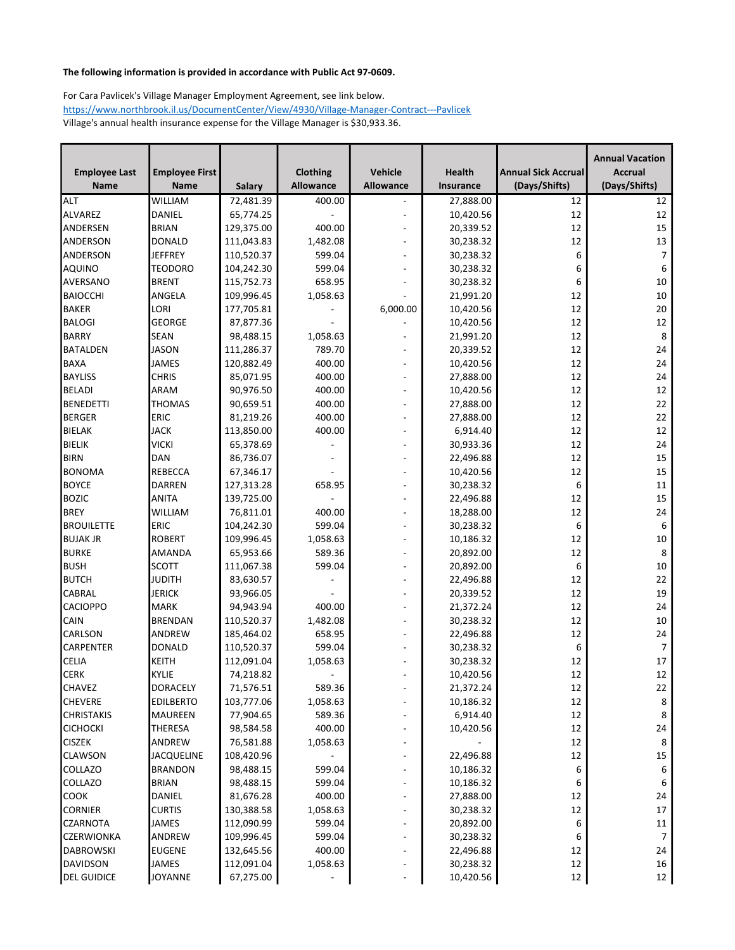|                                 |                       |                         |                    |                                            |                        |                            | <b>Annual Vacation</b> |
|---------------------------------|-----------------------|-------------------------|--------------------|--------------------------------------------|------------------------|----------------------------|------------------------|
| <b>Employee Last</b>            | <b>Employee First</b> |                         | Clothing           | Vehicle                                    | Health                 | <b>Annual Sick Accrual</b> | <b>Accrual</b>         |
| <b>Name</b>                     | <b>Name</b>           | Salary                  | <b>Allowance</b>   | Allowance                                  | Insurance              | (Days/Shifts)              | (Days/Shifts)          |
| <b>ALT</b>                      | <b>WILLIAM</b>        | 72,481.39               | 400.00             |                                            | 27,888.00              | 12                         | 12                     |
| ALVAREZ                         | DANIEL                | 65,774.25               |                    | $\overline{\phantom{0}}$                   | 10,420.56              | 12                         | 12                     |
| ANDERSEN                        | <b>BRIAN</b>          | 129,375.00              | 400.00             | $\overline{\phantom{0}}$                   | 20,339.52              | 12                         | 15                     |
| ANDERSON                        | DONALD                | 111,043.83              | 1,482.08           |                                            | 30,238.32              | 12                         | 13                     |
| ANDERSON                        | <b>JEFFREY</b>        | 110,520.37              | 599.04             | $\overline{a}$                             | 30,238.32              | 6                          | $\overline{7}$         |
| AQUINO                          | <b>TEODORO</b>        | 104,242.30              | 599.04             |                                            | 30,238.32              | 6                          | 6                      |
| AVERSANO                        | <b>BRENT</b>          | 115,752.73              | 658.95             |                                            | 30,238.32              | 6                          | 10                     |
| <b>BAIOCCHI</b>                 | ANGELA                | 109,996.45              | 1,058.63           |                                            | 21,991.20              | 12                         | 10                     |
| BAKER                           | LORI                  | 177,705.81              |                    | 6,000.00                                   | 10,420.56              | 12                         | 20                     |
| <b>BALOGI</b>                   | <b>GEORGE</b>         | 87,877.36               |                    |                                            | 10,420.56              | 12                         | 12                     |
| <b>BARRY</b>                    | <b>SEAN</b>           | 98,488.15               | 1,058.63           |                                            | 21,991.20              | 12                         | 8                      |
| BATALDEN                        | <b>JASON</b>          | 111,286.37              | 789.70             |                                            | 20,339.52              | 12                         | 24                     |
| BAXA                            | <b>JAMES</b>          | 120,882.49              | 400.00             | ۰                                          | 10,420.56              | 12                         | 24                     |
| <b>BAYLISS</b>                  | <b>CHRIS</b>          | 85,071.95               | 400.00             | $\overline{\phantom{0}}$                   | 27,888.00              | 12                         | 24                     |
| BELADI                          | ARAM                  | 90,976.50               | 400.00             | $\overline{\phantom{0}}$                   | 10,420.56              | 12                         | 12                     |
| <b>BENEDETTI</b>                | <b>THOMAS</b>         | 90,659.51               | 400.00             | $\overline{a}$                             | 27,888.00              | 12                         | 22                     |
| <b>BERGER</b>                   | <b>ERIC</b>           | 81,219.26               | 400.00             | $\overline{\phantom{a}}$                   | 27,888.00              | 12                         | 22                     |
| BIELAK                          | <b>JACK</b>           | 113,850.00              | 400.00             | $\overline{a}$                             | 6,914.40               | 12                         | 12                     |
| <b>BIELIK</b>                   | <b>VICKI</b>          | 65,378.69               |                    | $\overline{\phantom{0}}$                   | 30,933.36              | 12                         | 24                     |
| <b>BIRN</b>                     | DAN                   | 86,736.07               |                    | $\overline{\phantom{0}}$                   | 22,496.88              | 12                         | 15                     |
| BONOMA                          | <b>REBECCA</b>        | 67,346.17               |                    | $\overline{a}$                             | 10,420.56              | 12                         | 15                     |
| <b>BOYCE</b>                    | <b>DARREN</b>         | 127,313.28              | 658.95             | $\overline{a}$                             | 30,238.32              | 6                          | 11                     |
| <b>BOZIC</b>                    | <b>ANITA</b>          | 139,725.00              |                    | $\overline{a}$                             | 22,496.88              | 12                         | 15                     |
| <b>BREY</b>                     | <b>WILLIAM</b>        | 76,811.01               | 400.00             | $\overline{\phantom{0}}$                   | 18,288.00              | 12                         | 24                     |
| <b>BROUILETTE</b>               | <b>ERIC</b>           | 104,242.30              | 599.04             | $\overline{\phantom{0}}$                   | 30,238.32              | 6                          | 6                      |
| <b>BUJAK JR</b>                 | <b>ROBERT</b>         | 109,996.45              | 1,058.63           | $\overline{a}$                             | 10,186.32              | 12                         | $10\,$                 |
| <b>BURKE</b>                    | <b>AMANDA</b>         | 65,953.66               | 589.36             | $\overline{\phantom{0}}$                   | 20,892.00              | 12                         | 8                      |
| <b>BUSH</b>                     | <b>SCOTT</b>          | 111,067.38              | 599.04             | $\overline{\phantom{0}}$                   | 20,892.00              | 6                          | $10\,$                 |
| <b>BUTCH</b>                    | <b>JUDITH</b>         | 83,630.57               |                    |                                            | 22,496.88              | 12                         | 22                     |
| <b>CABRAL</b>                   | <b>JERICK</b>         | 93,966.05               |                    | $\overline{a}$                             | 20,339.52              | 12                         | 19                     |
| <b>CACIOPPO</b>                 | <b>MARK</b>           | 94,943.94               | 400.00             | $\overline{a}$                             |                        | 12                         | 24                     |
|                                 | <b>BRENDAN</b>        | 110,520.37              | 1,482.08           | $\overline{\phantom{0}}$                   | 21,372.24<br>30,238.32 | 12                         | 10                     |
| <b>CAIN</b><br><b>CARLSON</b>   | <b>ANDREW</b>         | 185,464.02              | 658.95             |                                            |                        | 12                         | 24                     |
| <b>CARPENTER</b>                | <b>DONALD</b>         | 110,520.37              | 599.04             | $\overline{\phantom{0}}$<br>$\blacksquare$ | 22,496.88              | 6                          | 7                      |
| <b>CELIA</b>                    | KEITH                 | 112,091.04              | 1,058.63           |                                            | 30,238.32              | 12                         | 17                     |
| <b>CERK</b>                     | <b>KYLIE</b>          | 74,218.82               |                    |                                            | 30,238.32              | 12                         | 12                     |
|                                 |                       |                         |                    |                                            | 10,420.56              |                            |                        |
| <b>CHAVEZ</b><br><b>CHEVERE</b> | <b>DORACELY</b>       | 71,576.51<br>103,777.06 | 589.36             |                                            | 21,372.24              | 12                         | 22                     |
|                                 | <b>EDILBERTO</b>      |                         | 1,058.63<br>589.36 |                                            | 10,186.32<br>6,914.40  | 12<br>12                   | 8<br>$\,8\,$           |
| <b>CHRISTAKIS</b>               | <b>MAUREEN</b>        | 77,904.65               |                    |                                            |                        |                            |                        |
| <b>CICHOCKI</b>                 | <b>THERESA</b>        | 98,584.58               | 400.00             | -                                          | 10,420.56              | 12                         | 24                     |
| <b>CISZEK</b>                   | ANDREW                | 76,581.88               | 1,058.63           |                                            |                        | 12                         | 8                      |
| <b>CLAWSON</b>                  | <b>JACQUELINE</b>     | 108,420.96              |                    | $\overline{\phantom{a}}$                   | 22,496.88              | 12                         | 15                     |
| <b>COLLAZO</b>                  | <b>BRANDON</b>        | 98,488.15               | 599.04             | $\overline{\phantom{a}}$                   | 10,186.32              | 6                          | 6                      |
| <b>COLLAZO</b>                  | <b>BRIAN</b>          | 98,488.15               | 599.04             | -                                          | 10,186.32              | 6                          | 6                      |
| <b>COOK</b>                     | DANIEL                | 81,676.28               | 400.00             | -                                          | 27,888.00              | 12                         | 24                     |
| <b>CORNIER</b>                  | <b>CURTIS</b>         | 130,388.58              | 1,058.63           | $\overline{\phantom{0}}$                   | 30,238.32              | 12                         | 17                     |
| <b>CZARNOTA</b>                 | JAMES                 | 112,090.99              | 599.04             | $\overline{\phantom{a}}$                   | 20,892.00              | 6                          | 11                     |
| <b>CZERWIONKA</b>               | ANDREW                | 109,996.45              | 599.04             | $\overline{\phantom{0}}$                   | 30,238.32              | 6                          | 7                      |
| DABROWSKI                       | <b>EUGENE</b>         | 132,645.56              | 400.00             | -                                          | 22,496.88              | 12                         | 24                     |
| DAVIDSON                        | <b>JAMES</b>          | 112,091.04              | 1,058.63           |                                            | 30,238.32              | 12                         | 16                     |
| <b>DEL GUIDICE</b>              | <b>JOYANNE</b>        | 67,275.00               |                    |                                            | 10,420.56              | 12                         | 12                     |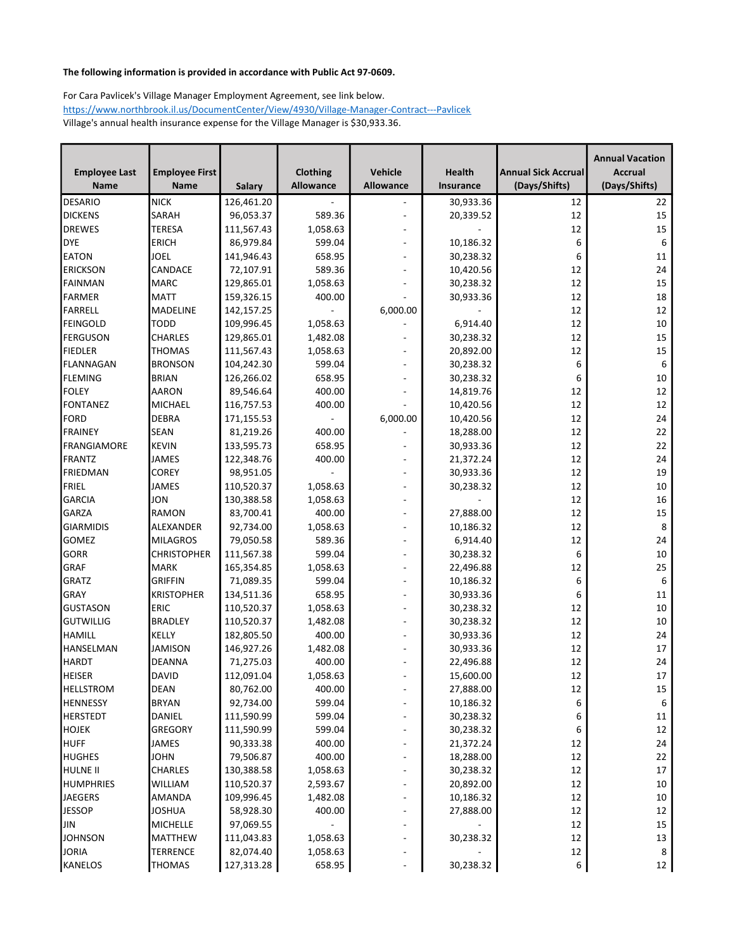|                      |                       |               |                  |                          |           |                            | <b>Annual Vacation</b> |
|----------------------|-----------------------|---------------|------------------|--------------------------|-----------|----------------------------|------------------------|
| <b>Employee Last</b> | <b>Employee First</b> |               | Clothing         | Vehicle                  | Health    | <b>Annual Sick Accrual</b> | <b>Accrual</b>         |
| <b>Name</b>          | <b>Name</b>           | <b>Salary</b> | <b>Allowance</b> | <b>Allowance</b>         | Insurance | (Days/Shifts)              | (Days/Shifts)          |
| <b>DESARIO</b>       | <b>NICK</b>           | 126,461.20    |                  |                          | 30,933.36 | 12                         | 22                     |
| <b>DICKENS</b>       | SARAH                 | 96,053.37     | 589.36           | $\overline{\phantom{a}}$ | 20,339.52 | 12                         | 15                     |
| <b>DREWES</b>        | <b>TERESA</b>         | 111,567.43    | 1,058.63         |                          |           | 12                         | 15                     |
| DYE                  | ERICH                 | 86,979.84     | 599.04           | $\blacksquare$           | 10,186.32 | 6                          | 6                      |
| <b>EATON</b>         | JOEL                  | 141,946.43    | 658.95           |                          | 30,238.32 | 6                          | 11                     |
| <b>ERICKSON</b>      | CANDACE               | 72,107.91     | 589.36           |                          | 10,420.56 | 12                         | 24                     |
| FAINMAN              | <b>MARC</b>           | 129,865.01    | 1,058.63         |                          | 30,238.32 | 12                         | 15                     |
| FARMER               | <b>MATT</b>           | 159,326.15    | 400.00           |                          | 30,933.36 | 12                         | 18                     |
| FARRELL              | <b>MADELINE</b>       | 142,157.25    |                  | 6,000.00                 |           | 12                         | 12                     |
| FEINGOLD             | <b>TODD</b>           | 109,996.45    | 1,058.63         |                          | 6,914.40  | 12                         | 10                     |
| FERGUSON             | <b>CHARLES</b>        | 129,865.01    | 1,482.08         |                          | 30,238.32 | 12                         | 15                     |
| <b>FIEDLER</b>       | <b>THOMAS</b>         | 111,567.43    | 1,058.63         | $\blacksquare$           | 20,892.00 | 12                         | 15                     |
| FLANNAGAN            | <b>BRONSON</b>        | 104,242.30    | 599.04           |                          | 30,238.32 | 6                          | 6                      |
| <b>FLEMING</b>       | <b>BRIAN</b>          | 126,266.02    | 658.95           |                          | 30,238.32 | 6                          | 10                     |
| FOLEY                | AARON                 | 89,546.64     | 400.00           |                          | 14,819.76 | 12                         | 12                     |
| FONTANEZ             | MICHAEL               | 116,757.53    | 400.00           |                          | 10,420.56 | 12                         | 12                     |
| FORD                 | <b>DEBRA</b>          | 171,155.53    |                  | 6,000.00                 | 10,420.56 | 12                         | 24                     |
| FRAINEY              | <b>SEAN</b>           | 81,219.26     | 400.00           |                          | 18,288.00 | 12                         | 22                     |
| FRANGIAMORE          | <b>KEVIN</b>          | 133,595.73    | 658.95           |                          | 30,933.36 | 12                         | 22                     |
| FRANTZ               | JAMES                 | 122,348.76    | 400.00           | $\overline{\phantom{a}}$ | 21,372.24 | 12                         | 24                     |
| FRIEDMAN             | <b>COREY</b>          | 98,951.05     |                  | $\blacksquare$           | 30,933.36 | 12                         | 19                     |
| FRIEL                | <b>JAMES</b>          | 110,520.37    | 1,058.63         |                          | 30,238.32 | 12                         | 10                     |
| GARCIA               | JON                   | 130,388.58    | 1,058.63         |                          |           | 12                         | 16                     |
| GARZA                | RAMON                 | 83,700.41     | 400.00           | $\overline{\phantom{a}}$ | 27,888.00 | 12                         | 15                     |
| GIARMIDIS            | ALEXANDER             | 92,734.00     | 1,058.63         | $\overline{\phantom{a}}$ | 10,186.32 | 12                         | $\,8\,$                |
| <b>GOMEZ</b>         | <b>MILAGROS</b>       | 79,050.58     | 589.36           | $\overline{\phantom{m}}$ | 6,914.40  | 12                         | 24                     |
| <b>GORR</b>          | <b>CHRISTOPHER</b>    | 111,567.38    | 599.04           | $\blacksquare$           | 30,238.32 | 6                          | 10                     |
| GRAF                 | <b>MARK</b>           | 165,354.85    | 1,058.63         | $\overline{\phantom{a}}$ | 22,496.88 | 12                         | 25                     |
| GRATZ                | GRIFFIN               | 71,089.35     | 599.04           | $\overline{\phantom{a}}$ | 10,186.32 | 6                          | 6                      |
| GRAY                 | <b>KRISTOPHER</b>     | 134,511.36    | 658.95           |                          | 30,933.36 | 6                          | 11                     |
| GUSTASON             | <b>ERIC</b>           | 110,520.37    | 1,058.63         | $\overline{\phantom{a}}$ | 30,238.32 | 12                         | 10                     |
| <b>GUTWILLIG</b>     | <b>BRADLEY</b>        | 110,520.37    | 1,482.08         |                          | 30,238.32 | 12                         | 10                     |
| HAMILL               | KELLY                 | 182,805.50    | 400.00           | $\sim$                   | 30,933.36 | 12                         | 24                     |
| HANSELMAN            | <b>JAMISON</b>        | 146,927.26    | 1,482.08         | $\overline{a}$           | 30,933.36 | 12                         | 17                     |
| <b>HARDT</b>         | <b>DEANNA</b>         | 71,275.03     | 400.00           |                          | 22,496.88 | 12                         | 24                     |
| <b>HEISER</b>        | <b>DAVID</b>          | 112,091.04    | 1,058.63         | $\sim$                   | 15,600.00 | 12                         | 17                     |
| <b>HELLSTROM</b>     | <b>DEAN</b>           | 80,762.00     | 400.00           |                          | 27,888.00 | 12                         | 15                     |
| HENNESSY             | <b>BRYAN</b>          | 92,734.00     | 599.04           | $\overline{\phantom{m}}$ | 10,186.32 | 6                          | 6                      |
| HERSTEDT             | DANIEL                | 111,590.99    | 599.04           | $\overline{a}$           | 30,238.32 | 6                          | 11                     |
| <b>HOJEK</b>         | <b>GREGORY</b>        | 111,590.99    | 599.04           | $\overline{\phantom{m}}$ | 30,238.32 | 6                          | 12                     |
| <b>HUFF</b>          | JAMES                 | 90,333.38     | 400.00           | $\overline{\phantom{m}}$ | 21,372.24 | 12                         | 24                     |
| HUGHES               | <b>JOHN</b>           | 79,506.87     | 400.00           | $\overline{\phantom{a}}$ | 18,288.00 | 12                         | 22                     |
| <b>HULNE II</b>      | <b>CHARLES</b>        | 130,388.58    | 1,058.63         | $\overline{\phantom{m}}$ | 30,238.32 | 12                         | 17                     |
| HUMPHRIES            | WILLIAM               | 110,520.37    | 2,593.67         | $\overline{a}$           | 20,892.00 | 12                         | 10                     |
| <b>JAEGERS</b>       | <b>AMANDA</b>         | 109,996.45    | 1,482.08         | $\overline{\phantom{a}}$ | 10,186.32 | 12                         | 10                     |
| <b>JESSOP</b>        | <b>JOSHUA</b>         | 58,928.30     | 400.00           | $\overline{\phantom{a}}$ | 27,888.00 | 12                         | 12                     |
| JIN                  | <b>MICHELLE</b>       | 97,069.55     |                  | $\overline{\phantom{a}}$ |           | 12                         | 15                     |
| <b>JOHNSON</b>       | <b>MATTHEW</b>        | 111,043.83    | 1,058.63         | $\blacksquare$           | 30,238.32 | 12                         | 13                     |
| <b>JORIA</b>         | TERRENCE              | 82,074.40     | 1,058.63         |                          |           | 12                         | 8                      |
| KANELOS              | THOMAS                | 127,313.28    | 658.95           |                          | 30,238.32 | 6                          | 12                     |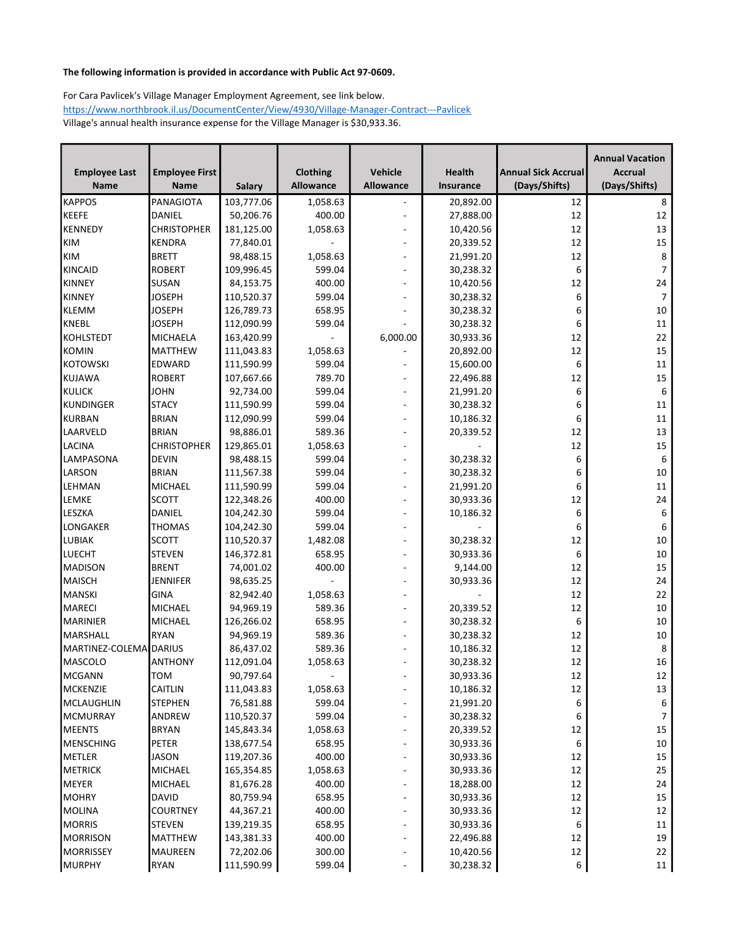|                        |                       |               |           |                          |           |                            | <b>Annual Vacation</b> |
|------------------------|-----------------------|---------------|-----------|--------------------------|-----------|----------------------------|------------------------|
| <b>Employee Last</b>   | <b>Employee First</b> |               | Clothing  | Vehicle                  | Health    | <b>Annual Sick Accrual</b> | <b>Accrual</b>         |
| <b>Name</b>            | <b>Name</b>           | <b>Salary</b> | Allowance | <b>Allowance</b>         | Insurance | (Days/Shifts)              | (Days/Shifts)          |
| KAPPOS                 | PANAGIOTA             | 103,777.06    | 1,058.63  |                          | 20,892.00 | 12                         | 8                      |
| KEEFE                  | <b>DANIEL</b>         | 50,206.76     | 400.00    |                          | 27,888.00 | 12                         | 12                     |
| KENNEDY                | <b>CHRISTOPHER</b>    | 181,125.00    | 1,058.63  |                          | 10,420.56 | 12                         | 13                     |
| KIM                    | <b>KENDRA</b>         | 77,840.01     |           | $\overline{a}$           | 20,339.52 | 12                         | 15                     |
| <b>KIM</b>             | <b>BRETT</b>          | 98,488.15     | 1,058.63  |                          | 21,991.20 | 12                         | 8                      |
| KINCAID                | <b>ROBERT</b>         | 109,996.45    | 599.04    |                          | 30,238.32 | 6                          | $\overline{7}$         |
| KINNEY                 | <b>SUSAN</b>          | 84,153.75     | 400.00    |                          | 10,420.56 | 12                         | 24                     |
| KINNEY                 | <b>JOSEPH</b>         | 110,520.37    | 599.04    |                          | 30,238.32 | 6                          | $\overline{7}$         |
| KLEMM                  | <b>JOSEPH</b>         | 126,789.73    | 658.95    | $\overline{\phantom{a}}$ | 30,238.32 | 6                          | 10                     |
| <b>KNEBL</b>           | <b>JOSEPH</b>         | 112,090.99    | 599.04    |                          | 30,238.32 | 6                          | 11                     |
| <b>I</b> KOHLSTEDT     | MICHAELA              | 163,420.99    |           | 6,000.00                 | 30,933.36 | 12                         | 22                     |
| <b>KOMIN</b>           | MATTHEW               | 111,043.83    | 1,058.63  |                          | 20,892.00 | 12                         | 15                     |
| KOTOWSKI               | <b>EDWARD</b>         | 111,590.99    | 599.04    | $\blacksquare$           | 15,600.00 | 6                          | $11\,$                 |
| KUJAWA                 | <b>ROBERT</b>         | 107,667.66    | 789.70    |                          | 22,496.88 | 12                         | 15                     |
| KULICK                 | JOHN                  | 92,734.00     | 599.04    | $\blacksquare$           | 21,991.20 | 6                          | 6                      |
| KUNDINGER              | <b>STACY</b>          | 111,590.99    | 599.04    |                          | 30,238.32 | 6                          | $11\,$                 |
| <b>KURBAN</b>          | <b>BRIAN</b>          | 112,090.99    | 599.04    | $\overline{\phantom{a}}$ | 10,186.32 | 6                          | 11                     |
| LAARVELD               | <b>BRIAN</b>          | 98,886.01     | 589.36    |                          | 20,339.52 | 12                         | 13                     |
| <b>LACINA</b>          | <b>CHRISTOPHER</b>    | 129,865.01    | 1,058.63  | $\blacksquare$           |           | 12                         | 15                     |
| LAMPASONA              | <b>DEVIN</b>          | 98,488.15     | 599.04    |                          | 30,238.32 | 6                          | 6                      |
| LARSON                 | <b>BRIAN</b>          | 111,567.38    | 599.04    | $\blacksquare$           | 30,238.32 | 6                          | 10                     |
| LEHMAN                 | <b>MICHAEL</b>        | 111,590.99    | 599.04    | $\sim$                   | 21,991.20 | 6                          | $11\,$                 |
| LEMKE                  | <b>SCOTT</b>          | 122,348.26    | 400.00    |                          | 30,933.36 | 12                         | 24                     |
| LESZKA                 | DANIEL                | 104,242.30    | 599.04    |                          | 10,186.32 | 6                          | 6                      |
| LONGAKER               | <b>THOMAS</b>         | 104,242.30    | 599.04    | $\blacksquare$           |           | 6                          | 6                      |
| LUBIAK                 | <b>SCOTT</b>          | 110,520.37    | 1,482.08  | $\overline{\phantom{a}}$ | 30,238.32 | 12                         | 10                     |
| <b>LUECHT</b>          | <b>STEVEN</b>         | 146,372.81    | 658.95    | $\blacksquare$           | 30,933.36 | 6                          | 10                     |
| MADISON                | <b>BRENT</b>          | 74,001.02     | 400.00    | $\sim$                   | 9,144.00  | 12                         | 15                     |
| MAISCH                 | <b>JENNIFER</b>       | 98,635.25     |           | $\overline{\phantom{a}}$ | 30,933.36 | 12                         | 24                     |
| MANSKI                 | <b>GINA</b>           | 82,942.40     | 1,058.63  | $\sim$                   |           | 12                         | 22                     |
| MARECI                 | <b>MICHAEL</b>        | 94,969.19     | 589.36    | $\blacksquare$           | 20,339.52 | 12                         | $10\,$                 |
| MARINIER               | MICHAEL               | 126,266.02    | 658.95    |                          | 30,238.32 | 6                          | $10\,$                 |
| MARSHALL               | <b>RYAN</b>           | 94,969.19     | 589.36    |                          | 30,238.32 | 12                         | 10                     |
| MARTINEZ-COLEMA DARIUS |                       | 86,437.02     | 589.36    | $\overline{\phantom{a}}$ | 10,186.32 | 12                         | 8                      |
| MASCOLO                | ANTHONY               | 112,091.04    | 1,058.63  |                          | 30,238.32 | 12                         | 16                     |
| MCGANN                 | TOM                   | 90,797.64     |           |                          | 30,933.36 | 12                         | 12                     |
| MCKENZIE               | <b>CAITLIN</b>        | 111,043.83    | 1,058.63  |                          | 10,186.32 | 12                         | 13                     |
| MCLAUGHLIN             | <b>STEPHEN</b>        | 76,581.88     | 599.04    | $\overline{\phantom{a}}$ | 21,991.20 | 6                          | 6                      |
| MCMURRAY               | ANDREW                | 110,520.37    | 599.04    |                          | 30,238.32 | 6                          | 7                      |
| <b>MEENTS</b>          | <b>BRYAN</b>          | 145,843.34    | 1,058.63  | $\overline{\phantom{a}}$ | 20,339.52 | 12                         | 15                     |
| MENSCHING              | PETER                 | 138,677.54    | 658.95    | $\overline{\phantom{a}}$ | 30,933.36 | 6                          | 10                     |
| METLER                 | <b>JASON</b>          | 119,207.36    | 400.00    | $\overline{\phantom{a}}$ | 30,933.36 | 12                         | 15                     |
| METRICK                | MICHAEL               | 165,354.85    | 1,058.63  | $\overline{\phantom{a}}$ | 30,933.36 | 12                         | 25                     |
| MEYER                  | <b>MICHAEL</b>        | 81,676.28     | 400.00    | $\overline{\phantom{a}}$ | 18,288.00 | 12                         | 24                     |
| MOHRY                  | <b>DAVID</b>          | 80,759.94     | 658.95    | $\overline{\phantom{a}}$ | 30,933.36 | 12                         | 15                     |
| MOLINA                 | <b>COURTNEY</b>       | 44,367.21     | 400.00    | $\overline{\phantom{a}}$ | 30,933.36 | 12                         | 12                     |
| MORRIS                 | <b>STEVEN</b>         | 139,219.35    | 658.95    | $\overline{\phantom{a}}$ | 30,933.36 | 6                          | 11                     |
| MORRISON               | <b>MATTHEW</b>        | 143,381.33    | 400.00    | $\overline{\phantom{a}}$ | 22,496.88 | 12                         | 19                     |
| MORRISSEY              | MAUREEN               | 72,202.06     | 300.00    |                          | 10,420.56 | 12                         | 22                     |
| MURPHY                 | <b>RYAN</b>           | 111,590.99    | 599.04    |                          | 30,238.32 | 6                          | 11                     |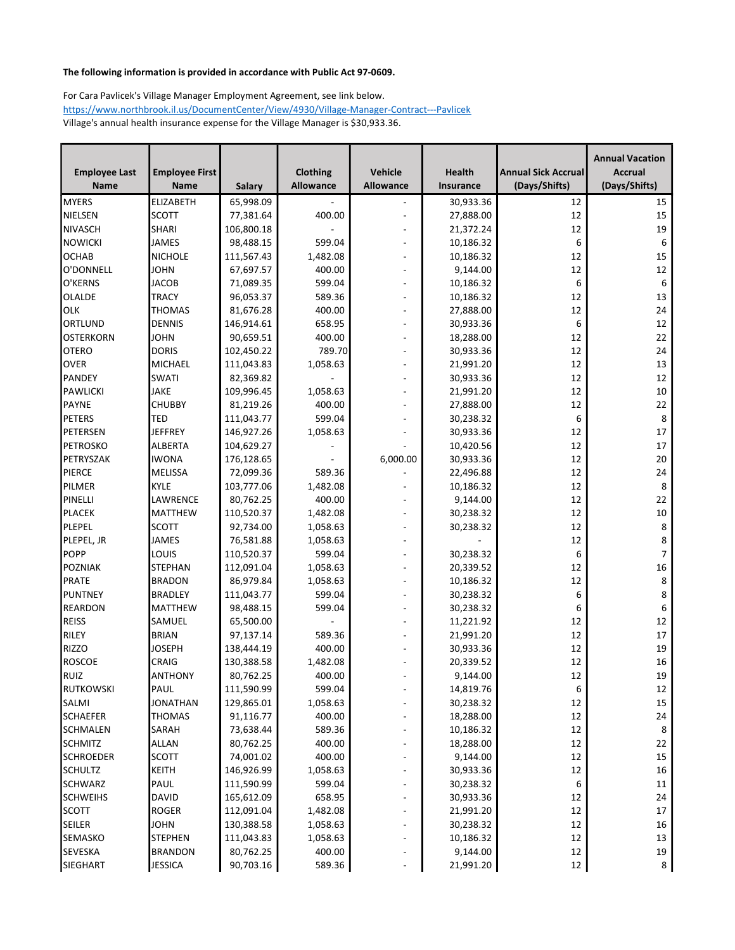|                      |                               |                         |                  |                                                      |                        |                            | <b>Annual Vacation</b> |
|----------------------|-------------------------------|-------------------------|------------------|------------------------------------------------------|------------------------|----------------------------|------------------------|
| <b>Employee Last</b> | <b>Employee First</b>         |                         | Clothing         | Vehicle                                              | Health                 | <b>Annual Sick Accrual</b> | <b>Accrual</b>         |
| <b>Name</b>          | <b>Name</b>                   | <b>Salary</b>           | <b>Allowance</b> | Allowance                                            | <b>Insurance</b>       | (Days/Shifts)              | (Days/Shifts)          |
| <b>MYERS</b>         | <b>ELIZABETH</b>              | 65,998.09               |                  |                                                      | 30,933.36              | 12                         | 15                     |
| NIELSEN              | <b>SCOTT</b>                  | 77,381.64               | 400.00           | $\overline{\phantom{a}}$                             | 27,888.00              | 12                         | 15                     |
| NIVASCH              | <b>SHARI</b>                  | 106,800.18              |                  | $\overline{a}$                                       | 21,372.24              | 12                         | 19                     |
| NOWICKI              | JAMES                         | 98,488.15               | 599.04           | $\overline{\phantom{a}}$                             | 10,186.32              | 6                          | 6                      |
| <b>OCHAB</b>         | <b>NICHOLE</b>                | 111,567.43              | 1,482.08         |                                                      | 10,186.32              | 12                         | 15                     |
| O'DONNELL            | <b>JOHN</b>                   | 67,697.57               | 400.00           | $\overline{a}$                                       | 9,144.00               | 12                         | 12                     |
| O'KERNS              | <b>JACOB</b>                  | 71,089.35               | 599.04           |                                                      | 10,186.32              | 6                          | 6                      |
| <b>OLALDE</b>        | <b>TRACY</b>                  | 96,053.37               | 589.36           | $\overline{\phantom{a}}$                             | 10,186.32              | 12                         | 13                     |
| OLK                  | <b>THOMAS</b>                 | 81,676.28               | 400.00           | $\overline{a}$                                       | 27,888.00              | 12                         | 24                     |
| ORTLUND              | <b>DENNIS</b>                 | 146,914.61              | 658.95           | $\qquad \qquad \blacksquare$                         | 30,933.36              | 6                          | 12                     |
| <b>OSTERKORN</b>     | <b>JOHN</b>                   | 90,659.51               | 400.00           | $\overline{a}$                                       | 18,288.00              | 12                         | 22                     |
| <b>OTERO</b>         | <b>DORIS</b>                  | 102,450.22              | 789.70           | $\overline{\phantom{a}}$                             | 30,933.36              | 12                         | 24                     |
| <b>OVER</b>          | <b>MICHAEL</b>                | 111,043.83              | 1,058.63         | $\overline{\phantom{a}}$                             | 21,991.20              | 12                         | 13                     |
| PANDEY               | <b>SWATI</b>                  | 82,369.82               |                  | $\sim$                                               | 30,933.36              | 12                         | 12                     |
| PAWLICKI             | <b>JAKE</b>                   | 109,996.45              | 1,058.63         | $\overline{a}$                                       | 21,991.20              | 12                         | 10                     |
| PAYNE                | <b>CHUBBY</b>                 | 81,219.26               | 400.00           | $\overline{\phantom{a}}$                             | 27,888.00              | 12                         | 22                     |
| PETERS               | TED                           | 111,043.77              | 599.04           | $\overline{a}$                                       | 30,238.32              | 6                          | 8                      |
| PETERSEN             | <b>JEFFREY</b>                | 146,927.26              | 1,058.63         | $\overline{a}$                                       | 30,933.36              | 12                         | 17                     |
| PETROSKO             | <b>ALBERTA</b>                | 104,629.27              |                  |                                                      | 10,420.56              | 12                         | 17                     |
| PETRYSZAK            | <b>IWONA</b>                  | 176,128.65              |                  | 6,000.00                                             | 30,933.36              | 12                         | 20                     |
| PIERCE               | MELISSA                       | 72,099.36               | 589.36           |                                                      | 22,496.88              | 12                         | 24                     |
| PILMER               | <b>KYLE</b>                   | 103,777.06              | 1,482.08         |                                                      | 10,186.32              | 12                         | 8                      |
| PINELLI              | LAWRENCE                      | 80,762.25               | 400.00           | $\blacksquare$                                       | 9,144.00               | 12                         | 22                     |
| PLACEK               | <b>MATTHEW</b>                | 110,520.37              | 1,482.08         | $\overline{a}$                                       | 30,238.32              | 12                         | 10                     |
| PLEPEL               | <b>SCOTT</b>                  | 92,734.00               | 1,058.63         | $\sim$                                               | 30,238.32              | 12                         | $\,8\,$                |
| PLEPEL, JR           | <b>JAMES</b>                  | 76,581.88               | 1,058.63         |                                                      |                        | 12                         | 8                      |
| <b>POPP</b>          | LOUIS                         | 110,520.37              | 599.04           | $\blacksquare$                                       | 30,238.32              | 6                          | $\overline{7}$         |
| POZNIAK              | <b>STEPHAN</b>                | 112,091.04              | 1,058.63         | $\overline{a}$                                       | 20,339.52              | 12                         | $16\,$                 |
| PRATE                | <b>BRADON</b>                 | 86,979.84               | 1,058.63         | $\overline{\phantom{a}}$                             | 10,186.32              | 12                         | $\,8\,$                |
| PUNTNEY              | <b>BRADLEY</b>                | 111,043.77              | 599.04           |                                                      | 30,238.32              | 6                          | 8                      |
| REARDON              | <b>MATTHEW</b>                | 98,488.15               | 599.04           | $\overline{a}$                                       | 30,238.32              | 6                          | $\boldsymbol{6}$       |
| REISS                | SAMUEL                        | 65,500.00               |                  |                                                      | 11,221.92              | 12                         | 12                     |
| RILEY                |                               |                         |                  |                                                      |                        | 12                         | 17                     |
| <b>RIZZO</b>         | <b>BRIAN</b><br><b>JOSEPH</b> | 97,137.14<br>138,444.19 | 589.36<br>400.00 | $\overline{\phantom{a}}$<br>$\overline{\phantom{a}}$ | 21,991.20              | 12                         | 19                     |
| <b>ROSCOE</b>        | <b>CRAIG</b>                  | 130,388.58              | 1,482.08         |                                                      | 30,933.36<br>20,339.52 | 12                         | 16                     |
| RUIZ                 | ANTHONY                       | 80,762.25               | 400.00           | $\overline{a}$<br>$\overline{a}$                     |                        | 12                         | 19                     |
| RUTKOWSKI            | PAUL                          | 111,590.99              | 599.04           |                                                      | 9,144.00<br>14,819.76  |                            |                        |
| <b>SALMI</b>         | <b>JONATHAN</b>               | 129,865.01              | 1,058.63         |                                                      | 30,238.32              | 6<br>$12\,$                | 12<br>15               |
|                      |                               |                         |                  | $\overline{\phantom{a}}$                             |                        |                            |                        |
| SCHAEFER             | <b>THOMAS</b>                 | 91,116.77               | 400.00           | $\blacksquare$                                       | 18,288.00              | 12                         | 24                     |
| <b>SCHMALEN</b>      | <b>SARAH</b>                  | 73,638.44               | 589.36           | $\blacksquare$                                       | 10,186.32              | 12                         | 8                      |
| SCHMITZ              | <b>ALLAN</b>                  | 80,762.25               | 400.00           | $\blacksquare$                                       | 18,288.00              | 12                         | 22                     |
| SCHROEDER            | <b>SCOTT</b>                  | 74,001.02               | 400.00           | $\overline{\phantom{a}}$                             | 9,144.00               | 12                         | 15                     |
| SCHULTZ              | <b>KEITH</b>                  | 146,926.99              | 1,058.63         | $\blacksquare$                                       | 30,933.36              | 12                         | 16                     |
| <b>SCHWARZ</b>       | PAUL                          | 111,590.99              | 599.04           | $\overline{\phantom{a}}$                             | 30,238.32              | 6                          | 11                     |
| <b>SCHWEIHS</b>      | DAVID                         | 165,612.09              | 658.95           | $\overline{\phantom{a}}$                             | 30,933.36              | 12                         | 24                     |
| <b>SCOTT</b>         | <b>ROGER</b>                  | 112,091.04              | 1,482.08         | ۰.                                                   | 21,991.20              | 12                         | 17                     |
| SEILER               | <b>JOHN</b>                   | 130,388.58              | 1,058.63         | $\overline{\phantom{a}}$                             | 30,238.32              | 12                         | 16                     |
| SEMASKO              | <b>STEPHEN</b>                | 111,043.83              | 1,058.63         | $\overline{\phantom{a}}$                             | 10,186.32              | 12                         | 13                     |
| SEVESKA              | <b>BRANDON</b>                | 80,762.25               | 400.00           |                                                      | 9,144.00               | 12                         | 19                     |
| SIEGHART             | <b>JESSICA</b>                | 90,703.16               | 589.36           | $\overline{\phantom{a}}$                             | 21,991.20              | 12                         | 8                      |